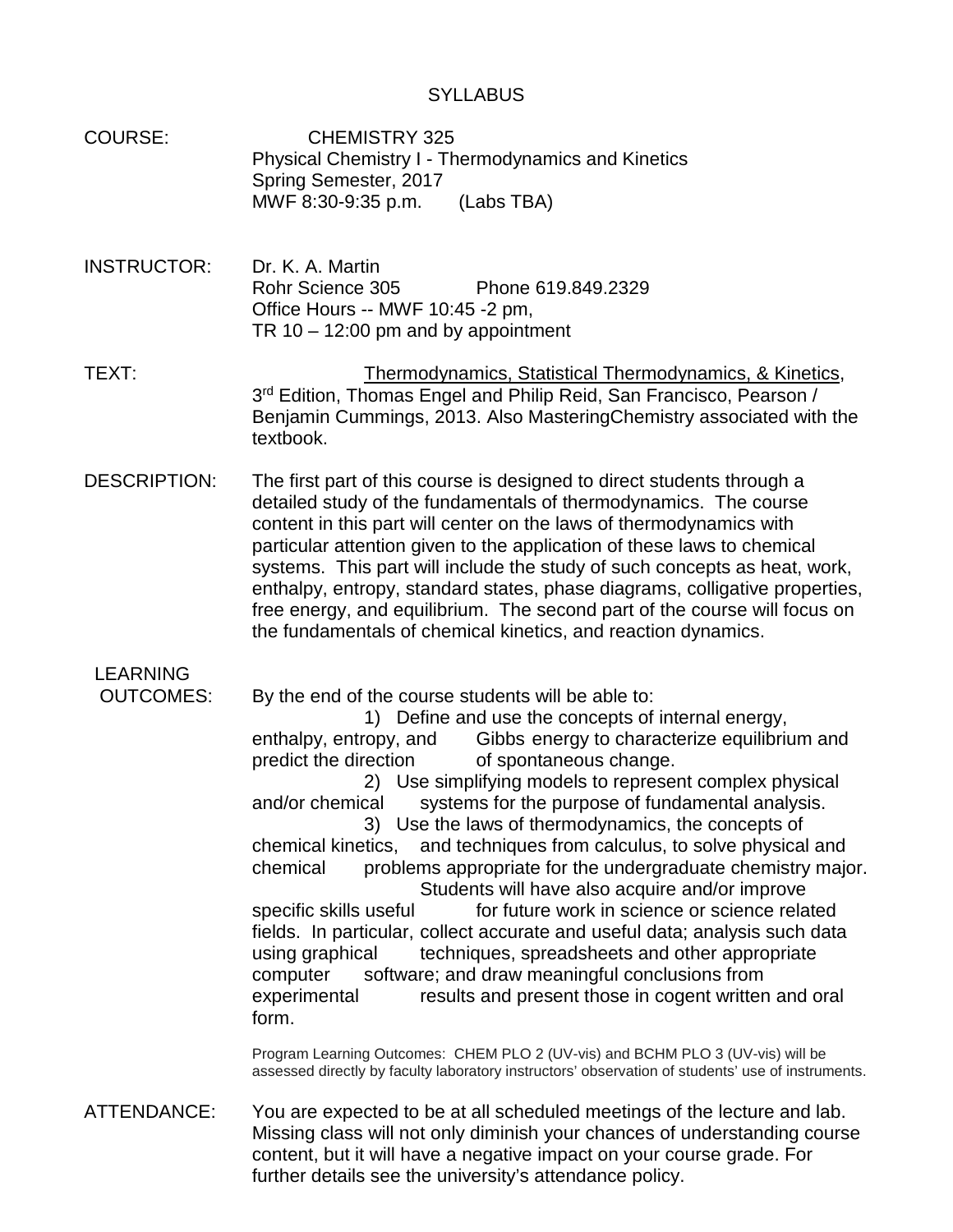# **SYLLABUS**

- COURSE: CHEMISTRY 325 Physical Chemistry I - Thermodynamics and Kinetics Spring Semester, 2017 MWF 8:30-9:35 p.m. (Labs TBA)
- INSTRUCTOR: Dr. K. A. Martin Rohr Science 305 Phone 619.849.2329 Office Hours -- MWF 10:45 -2 pm, TR  $10 - 12:00$  pm and by appointment
- TEXT: TEXT: Thermodynamics, Statistical Thermodynamics, & Kinetics, 3<sup>rd</sup> Edition, Thomas Engel and Philip Reid, San Francisco, Pearson / Benjamin Cummings, 2013. Also MasteringChemistry associated with the textbook.
- DESCRIPTION: The first part of this course is designed to direct students through a detailed study of the fundamentals of thermodynamics. The course content in this part will center on the laws of thermodynamics with particular attention given to the application of these laws to chemical systems. This part will include the study of such concepts as heat, work, enthalpy, entropy, standard states, phase diagrams, colligative properties, free energy, and equilibrium. The second part of the course will focus on the fundamentals of chemical kinetics, and reaction dynamics.

LEARNING<br>OUTCOMES:

By the end of the course students will be able to:

1) Define and use the concepts of internal energy, enthalpy, entropy, and Gibbs energy to characterize equilibrium and predict the direction of spontaneous change.

2) Use simplifying models to represent complex physical and/or chemical systems for the purpose of fundamental analysis.

3) Use the laws of thermodynamics, the concepts of chemical kinetics, and techniques from calculus, to solve physical and chemical problems appropriate for the undergraduate chemistry major. Students will have also acquire and/or improve

specific skills useful for future work in science or science related fields. In particular, collect accurate and useful data; analysis such data using graphical techniques, spreadsheets and other appropriate computer software; and draw meaningful conclusions from experimental results and present those in cogent written and oral form.

Program Learning Outcomes: CHEM PLO 2 (UV-vis) and BCHM PLO 3 (UV-vis) will be assessed directly by faculty laboratory instructors' observation of students' use of instruments.

ATTENDANCE: You are expected to be at all scheduled meetings of the lecture and lab. Missing class will not only diminish your chances of understanding course content, but it will have a negative impact on your course grade. For further details see the university's attendance policy.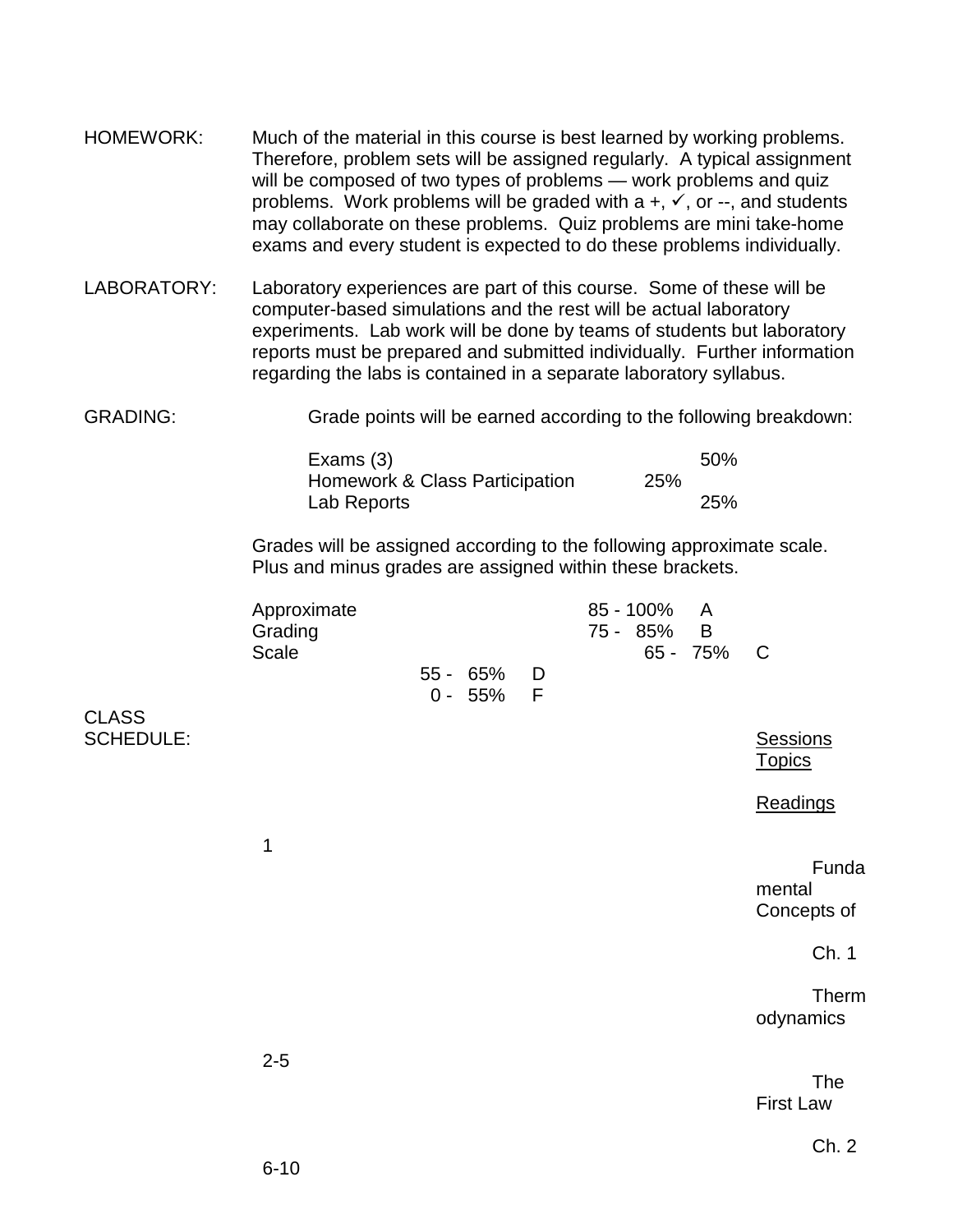- HOMEWORK: Much of the material in this course is best learned by working problems. Therefore, problem sets will be assigned regularly. A typical assignment will be composed of two types of problems — work problems and quiz problems. Work problems will be graded with  $a +, \checkmark$ , or --, and students may collaborate on these problems. Quiz problems are mini take-home exams and every student is expected to do these problems individually.
- LABORATORY: Laboratory experiences are part of this course. Some of these will be computer-based simulations and the rest will be actual laboratory experiments. Lab work will be done by teams of students but laboratory reports must be prepared and submitted individually. Further information regarding the labs is contained in a separate laboratory syllabus.
- GRADING: Grade points will be earned according to the following breakdown:

| Exams $(3)$                    |     | 50%        |
|--------------------------------|-----|------------|
| Homework & Class Participation | 25% |            |
| Lab Reports                    |     | <b>25%</b> |

Grades will be assigned according to the following approximate scale. Plus and minus grades are assigned within these brackets.

| Approximate |               | 85 - 100% A |            |  |
|-------------|---------------|-------------|------------|--|
| Grading     |               | 75 - 85% B  |            |  |
| Scale       |               |             | 65 - 75% C |  |
|             | $55 - 65\%$ D |             |            |  |
|             | $0 - 55\%$ F  |             |            |  |
|             |               |             |            |  |

CLASS SCHEDULE: SCHEDULE: SCHEDULE: SESSIONS

Ch. 2

The

**Topics** 

mental

Concepts of

odynamics

First Law

**Readings** 

Funda

Ch. 1

Therm

2-5

1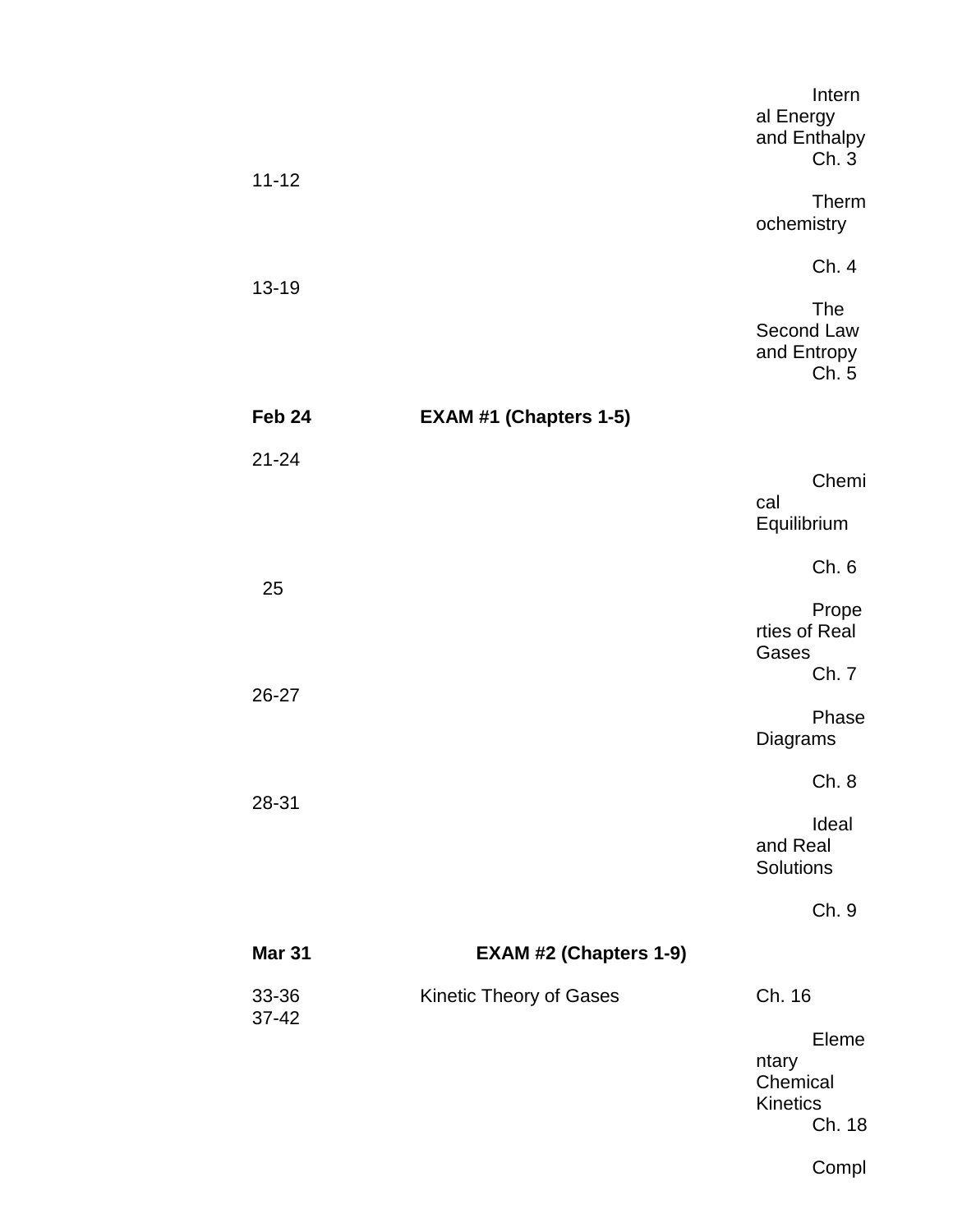|               |                               | Intern<br>al Energy<br>and Enthalpy<br>Ch. 3     |
|---------------|-------------------------------|--------------------------------------------------|
| $11 - 12$     |                               | Therm<br>ochemistry                              |
| 13-19         |                               | Ch. 4                                            |
|               |                               | The<br>Second Law<br>and Entropy<br>Ch. 5        |
| Feb 24        | <b>EXAM #1 (Chapters 1-5)</b> |                                                  |
| $21 - 24$     |                               | Chemi                                            |
|               |                               | cal<br>Equilibrium                               |
|               |                               | Ch. 6                                            |
| 25            |                               |                                                  |
|               |                               | Prope<br>rties of Real<br>Gases<br>Ch. 7         |
| 26-27         |                               | Phase                                            |
|               |                               | Diagrams                                         |
|               |                               | Ch.8                                             |
| 28-31         |                               | Ideal<br>and Real<br>Solutions                   |
|               |                               | Ch. 9                                            |
| <b>Mar 31</b> | <b>EXAM #2 (Chapters 1-9)</b> |                                                  |
| 33-36         | Kinetic Theory of Gases       | Ch. 16                                           |
| $37 - 42$     |                               | Eleme<br>ntary<br>Chemical<br>Kinetics<br>Ch. 18 |

Compl